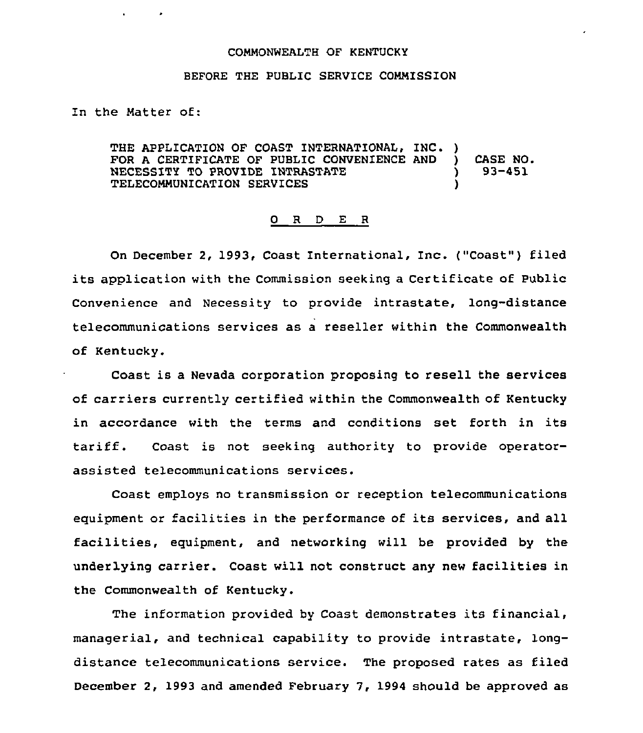## CONMONNEALTH OF KENTUCKY

## BEFORE THE PUBLIC SERVICE COMMISSION

In the Natter of:

 $\sim$   $\bullet$ 

THE APPLICATION OF COAST INTERNATIONAL, INC. )<br>FOR A CERTIFICATE OF PUBLIC CONVENIENCE AND FOR A CERTIFICATE OF PUBLIC CONVENIENCE AND )<br>NECESSITY TO PROVIDE INTRASTATE (1) NECESSITY TO PROVIDE INTRASTATE  $\rangle$  )<br>TELECOMMUNICATION SERVICES TELECONNUNICATION SERVICES ) CASE NO. 93-451

## 0 R <sup>D</sup> E R

On December 2, 1993, Coast International, Inc. ("Coast") filed its application with the Commission seeking <sup>a</sup> Certificate of Puhlic Convenience and Necessity to provide intrastate, long-distance telecommunications services as a reseller within the Commonwealth of Kentucky.

Coast is a Nevada corporation proposing to resell the services of carriers currently certified within the Commonwealth of Kentucky in accordance with the terms and conditions set forth in its tariff. Coast is not seeking authority to provide operatorassisted telecommunications services.

Coast employs no transmission or reception telecommunications eguipment or facilities in the performance of its services, and all facilities, eguipment, and networking will be provided by the underlying carrier. Coast will not construct any new facilities in the Commonwealth of Kentucky.

The information provided by Coast demonstrates its financial, managerial, and technical capability to provide intrastate, longdistance telecommunications service. The proposed rates as filed December 2, 1993 and amended February 7, 1994 should be approved as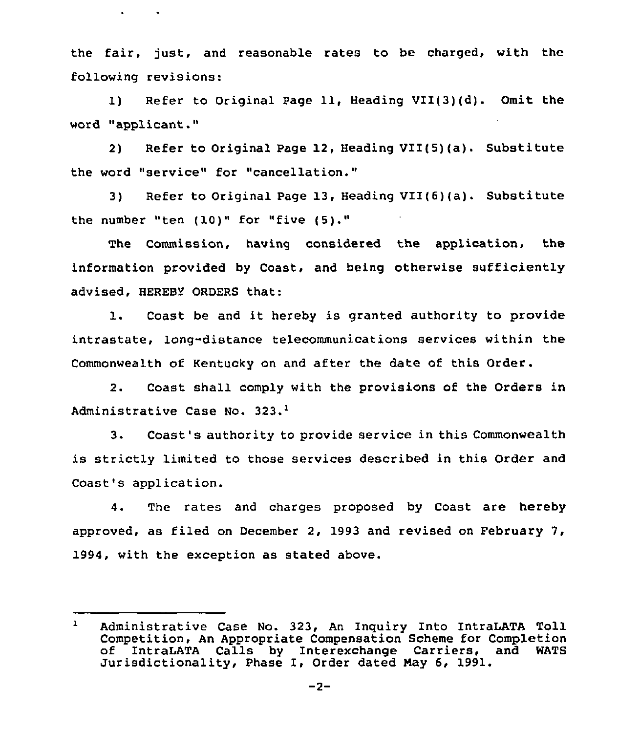the fair, just, and reasonable rates to be charged, with the following revisions:

 $\mathbf{r}$ 

 $\sim 100$ 

1) Refer to Original Page 11, Heading VII(3)(d). Omit the word "applicant."

2) Refer to Original Page 12, Heading VII(5)(a). Substitute the word "service" for "cancellation."

3) Refer to Original Page 13, Heading VII(6)(a). Substitute the number "ten (10)" for "five (5)."

The Commission, having considered the application, the information provided by Coast, and being otherwise sufficiently advised, HEREBY ORDERS that:

1. Coast be and it hereby is granted authority to provide intrastate, long-distance telecommunications services within the Commonwealth of Kentucky on and after the date of this Order.

2. Coast shall comply with the provisions of the Orders in Administrative Case No. 323.<sup>1</sup>

 $3.$ Coast's authority to provide service in this Commonwealth is strictly limited to those services described in this Order and Coast's application.

4. The rates and charges proposed by Coast are hereby approved, as filed on December 2, 1993 and revised on February 7, 1994, with the exception as stated above.

 $\mathbf{1}$ Administrative Case No. 323, An Inquiry Into IntraLATA Toll Competition, An Appropriate Compensation Scheme for Completion of IntraLATA Calls by Interexchange Carriers, and WATS Jurisdictionality, Phase I, Order dated May 6, 1991.